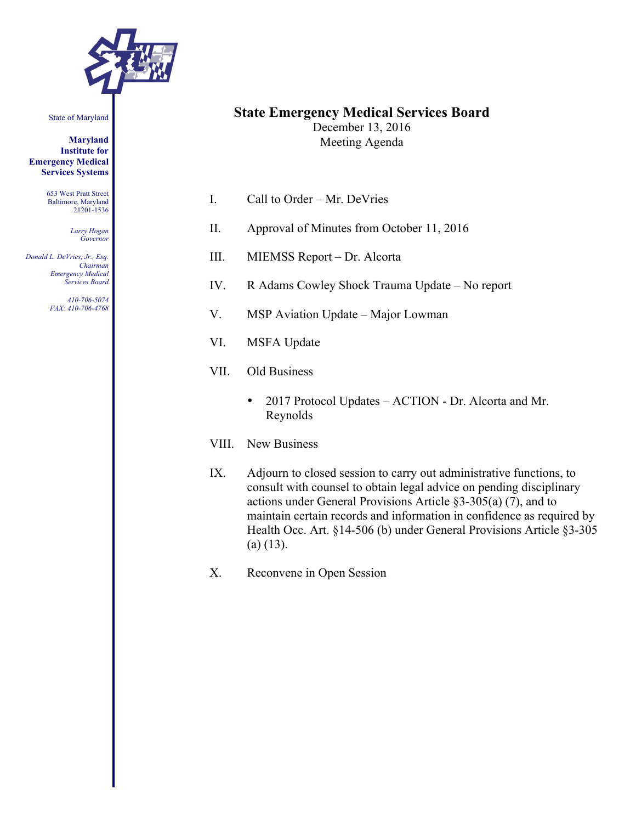

State of Maryland

**Maryland Institute for Emergency Medical Services Systems**

> 653 West Pratt Street Baltimore, Maryland 21201-1536

> > *Larry Hogan Governor*

*Donald L. DeVries, Jr., Esq. Chairman Emergency Medical Services Board*

> *410-706-5074 FAX: 410-706-4768*

### **State Emergency Medical Services Board**

December 13, 2016 Meeting Agenda

- I. Call to Order Mr. DeVries
- II. Approval of Minutes from October 11, 2016
- III. MIEMSS Report Dr. Alcorta
- IV. R Adams Cowley Shock Trauma Update No report
- V. MSP Aviation Update Major Lowman
- VI. MSFA Update
- VII. Old Business
	- 2017 Protocol Updates ACTION Dr. Alcorta and Mr. Reynolds
- VIII. New Business
- IX. Adjourn to closed session to carry out administrative functions, to consult with counsel to obtain legal advice on pending disciplinary actions under General Provisions Article §3-305(a) (7), and to maintain certain records and information in confidence as required by Health Occ. Art. §14-506 (b) under General Provisions Article §3-305  $(a)$  (13).
- X. Reconvene in Open Session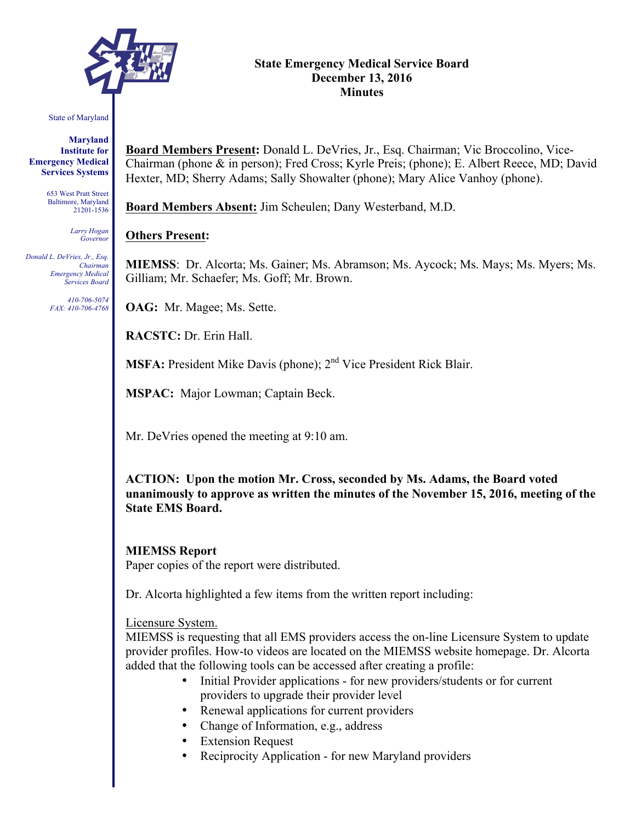

# State of Maryland

**Maryland Institute for Emergency Medical Services Systems**

> 653 West Pratt Street Baltimore, Maryland 21201-1536

> > *Larry Hogan Governor*

*Donald L. DeVries, Jr., Esq. Chairman Emergency Medical Services Board*

> *410-706-5074 FAX: 410-706-4768*

**Board Members Present:** Donald L. DeVries, Jr., Esq. Chairman; Vic Broccolino, Vice-Chairman (phone & in person); Fred Cross; Kyrle Preis; (phone); E. Albert Reece, MD; David Hexter, MD; Sherry Adams; Sally Showalter (phone); Mary Alice Vanhoy (phone).

**Board Members Absent:** Jim Scheulen; Dany Westerband, M.D.

# **Others Present:**

**MIEMSS**: Dr. Alcorta; Ms. Gainer; Ms. Abramson; Ms. Aycock; Ms. Mays; Ms. Myers; Ms. Gilliam; Mr. Schaefer; Ms. Goff; Mr. Brown.

**OAG:** Mr. Magee; Ms. Sette.

**RACSTC:** Dr. Erin Hall.

**MSFA:** President Mike Davis (phone); 2<sup>nd</sup> Vice President Rick Blair.

**MSPAC:** Major Lowman; Captain Beck.

Mr. DeVries opened the meeting at 9:10 am.

**ACTION: Upon the motion Mr. Cross, seconded by Ms. Adams, the Board voted unanimously to approve as written the minutes of the November 15, 2016, meeting of the State EMS Board.**

# **MIEMSS Report**

Paper copies of the report were distributed.

Dr. Alcorta highlighted a few items from the written report including:

### Licensure System.

MIEMSS is requesting that all EMS providers access the on-line Licensure System to update provider profiles. How-to videos are located on the MIEMSS website homepage. Dr. Alcorta added that the following tools can be accessed after creating a profile:

- Initial Provider applications for new providers/students or for current providers to upgrade their provider level
- Renewal applications for current providers
- Change of Information, e.g., address
- Extension Request
- Reciprocity Application for new Maryland providers

#### **State Emergency Medical Service Board December 13, 2016 Minutes**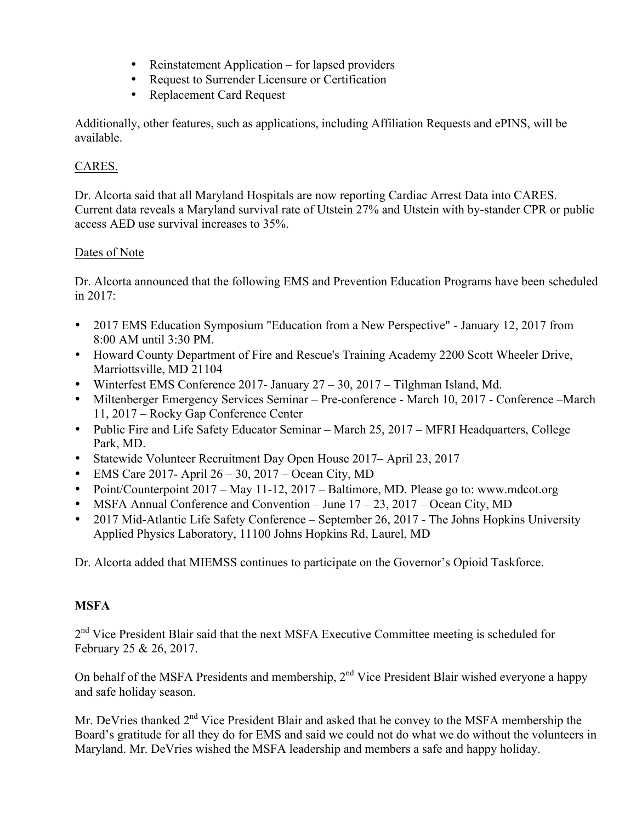- Reinstatement Application for lapsed providers
- Request to Surrender Licensure or Certification
- Replacement Card Request

Additionally, other features, such as applications, including Affiliation Requests and ePINS, will be available.

# CARES.

Dr. Alcorta said that all Maryland Hospitals are now reporting Cardiac Arrest Data into CARES. Current data reveals a Maryland survival rate of Utstein 27% and Utstein with by-stander CPR or public access AED use survival increases to 35%.

# Dates of Note

Dr. Alcorta announced that the following EMS and Prevention Education Programs have been scheduled in 2017:

- 2017 EMS Education Symposium "Education from a New Perspective" January 12, 2017 from 8:00 AM until 3:30 PM.
- Howard County Department of Fire and Rescue's Training Academy 2200 Scott Wheeler Drive, Marriottsville, MD 21104
- Winterfest EMS Conference 2017- January 27 30, 2017 Tilghman Island, Md.
- Miltenberger Emergency Services Seminar Pre-conference March 10, 2017 Conference March 11, 2017 – Rocky Gap Conference Center
- Public Fire and Life Safety Educator Seminar March 25, 2017 MFRI Headquarters, College Park, MD.
- Statewide Volunteer Recruitment Day Open House 2017– April 23, 2017
- EMS Care 2017- April  $26 30$ ,  $2017 -$ Ocean City, MD
- Point/Counterpoint 2017 May 11-12, 2017 Baltimore, MD. Please go to: www.mdcot.org
- MSFA Annual Conference and Convention June  $17 23$ ,  $2017 Ocean City$ , MD
- 2017 Mid-Atlantic Life Safety Conference September 26, 2017 The Johns Hopkins University Applied Physics Laboratory, 11100 Johns Hopkins Rd, Laurel, MD

Dr. Alcorta added that MIEMSS continues to participate on the Governor's Opioid Taskforce.

# **MSFA**

2<sup>nd</sup> Vice President Blair said that the next MSFA Executive Committee meeting is scheduled for February 25 & 26, 2017.

On behalf of the MSFA Presidents and membership,  $2<sup>nd</sup>$  Vice President Blair wished everyone a happy and safe holiday season.

Mr. DeVries thanked  $2<sup>nd</sup>$  Vice President Blair and asked that he convey to the MSFA membership the Board's gratitude for all they do for EMS and said we could not do what we do without the volunteers in Maryland. Mr. DeVries wished the MSFA leadership and members a safe and happy holiday.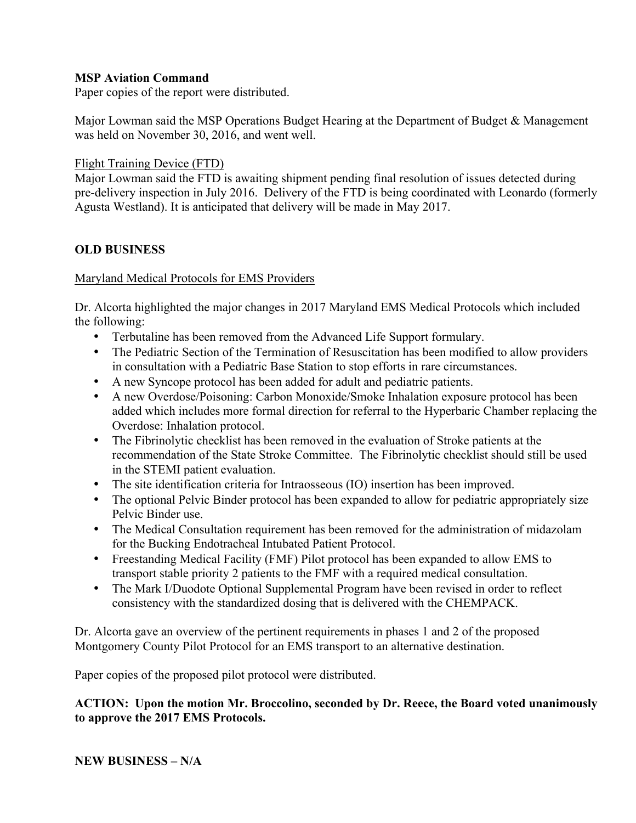### **MSP Aviation Command**

Paper copies of the report were distributed.

Major Lowman said the MSP Operations Budget Hearing at the Department of Budget & Management was held on November 30, 2016, and went well.

### Flight Training Device (FTD)

Major Lowman said the FTD is awaiting shipment pending final resolution of issues detected during pre-delivery inspection in July 2016. Delivery of the FTD is being coordinated with Leonardo (formerly Agusta Westland). It is anticipated that delivery will be made in May 2017.

### **OLD BUSINESS**

### Maryland Medical Protocols for EMS Providers

Dr. Alcorta highlighted the major changes in 2017 Maryland EMS Medical Protocols which included the following:

- Terbutaline has been removed from the Advanced Life Support formulary.
- The Pediatric Section of the Termination of Resuscitation has been modified to allow providers in consultation with a Pediatric Base Station to stop efforts in rare circumstances.
- A new Syncope protocol has been added for adult and pediatric patients.
- A new Overdose/Poisoning: Carbon Monoxide/Smoke Inhalation exposure protocol has been added which includes more formal direction for referral to the Hyperbaric Chamber replacing the Overdose: Inhalation protocol.
- The Fibrinolytic checklist has been removed in the evaluation of Stroke patients at the recommendation of the State Stroke Committee. The Fibrinolytic checklist should still be used in the STEMI patient evaluation.
- The site identification criteria for Intraosseous (IO) insertion has been improved.
- The optional Pelvic Binder protocol has been expanded to allow for pediatric appropriately size Pelvic Binder use.
- The Medical Consultation requirement has been removed for the administration of midazolam for the Bucking Endotracheal Intubated Patient Protocol.
- Freestanding Medical Facility (FMF) Pilot protocol has been expanded to allow EMS to transport stable priority 2 patients to the FMF with a required medical consultation.
- The Mark I/Duodote Optional Supplemental Program have been revised in order to reflect consistency with the standardized dosing that is delivered with the CHEMPACK.

Dr. Alcorta gave an overview of the pertinent requirements in phases 1 and 2 of the proposed Montgomery County Pilot Protocol for an EMS transport to an alternative destination.

Paper copies of the proposed pilot protocol were distributed.

### **ACTION: Upon the motion Mr. Broccolino, seconded by Dr. Reece, the Board voted unanimously to approve the 2017 EMS Protocols.**

**NEW BUSINESS – N/A**